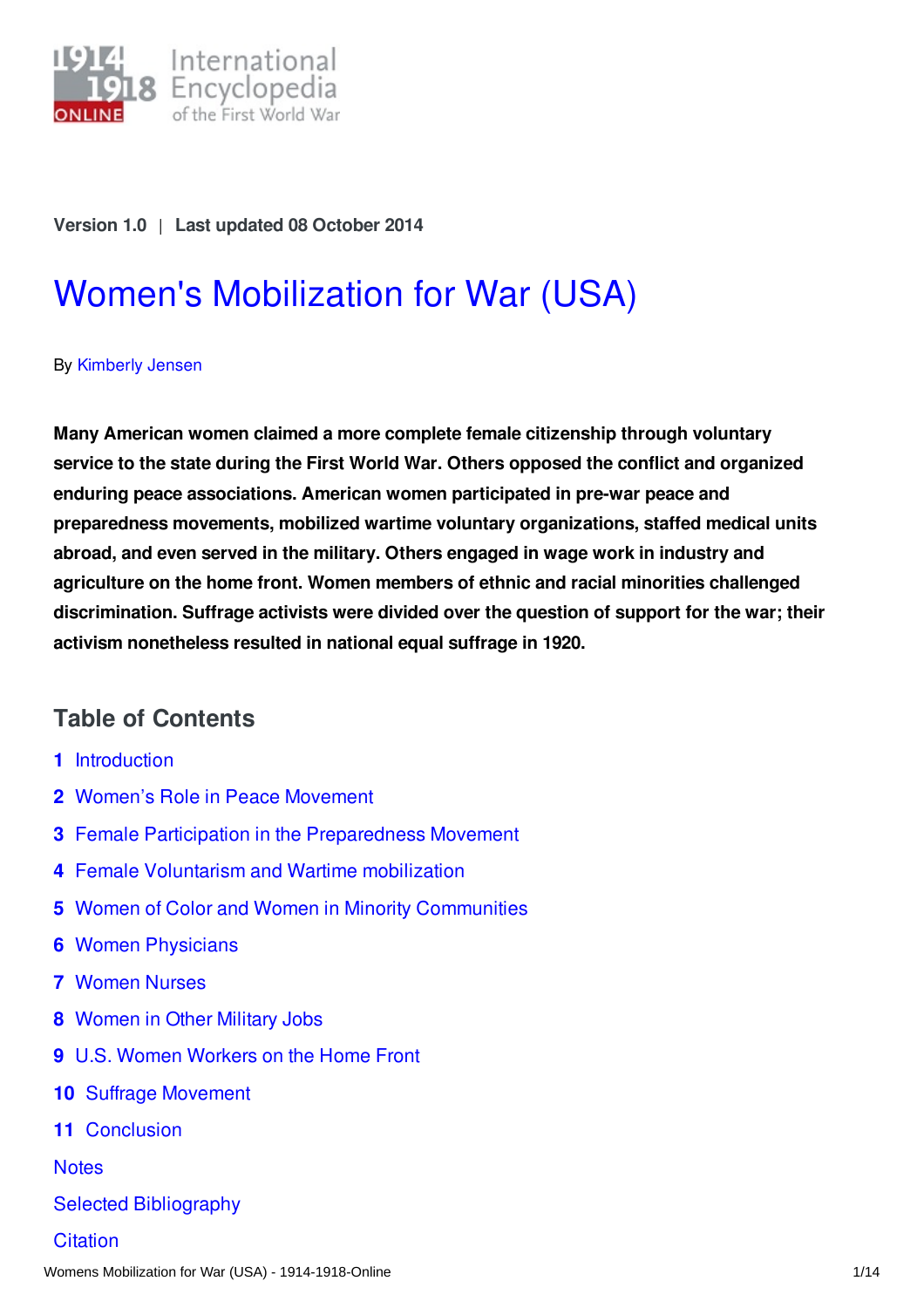

#### **Version 1.0** | **Last updated 08 October 2014**

# Women's [Mobilization](https://encyclopedia.1914-1918-online.net/article/womens_mobilization_for_war_usa) for War (USA)

#### By [Kimberly](https://encyclopedia.1914-1918-online.net/contributors/Kimberly_Jensen) Jensen

**Many American women claimed a more complete female citizenship through voluntary service to the state during the First World War. Others opposed the conflict and organized enduring peace associations. American women participated in pre-war peace and preparedness movements, mobilized wartime voluntary organizations, staffed medical units abroad, and even served in the military. Others engaged in wage work in industry and agriculture on the home front. Women members of ethnic and racial minorities challenged discrimination. Suffrage activists were divided over the question of support for the war; their activism nonetheless resulted in national equal suffrage in 1920.**

## **Table of Contents**

- **1** [Introduction](#page-1-0)
- **2** Women's Role in Peace [Movement](#page-1-1)
- **3** Female Participation in the [Preparedness](#page-2-0) Movement
- **4** Female Voluntarism and Wartime [mobilization](#page-2-1)
- **5** Women of Color and Women in Minority [Communities](#page-3-0)
- **6** Women [Physicians](#page-4-0)
- **7** [Women](#page-4-1) Nurses
- **8** [Women](#page-5-0) in Other Military Jobs
- **9** U.S. Women [Workers](#page-6-0) on the Home Front
- **10** Suffrage [Movement](#page-7-0)
- **11** [Conclusion](#page-8-0)

**[Notes](#page-9-0)** 

#### Selected [Bibliography](#page-11-0)

**[Citation](#page-12-0)**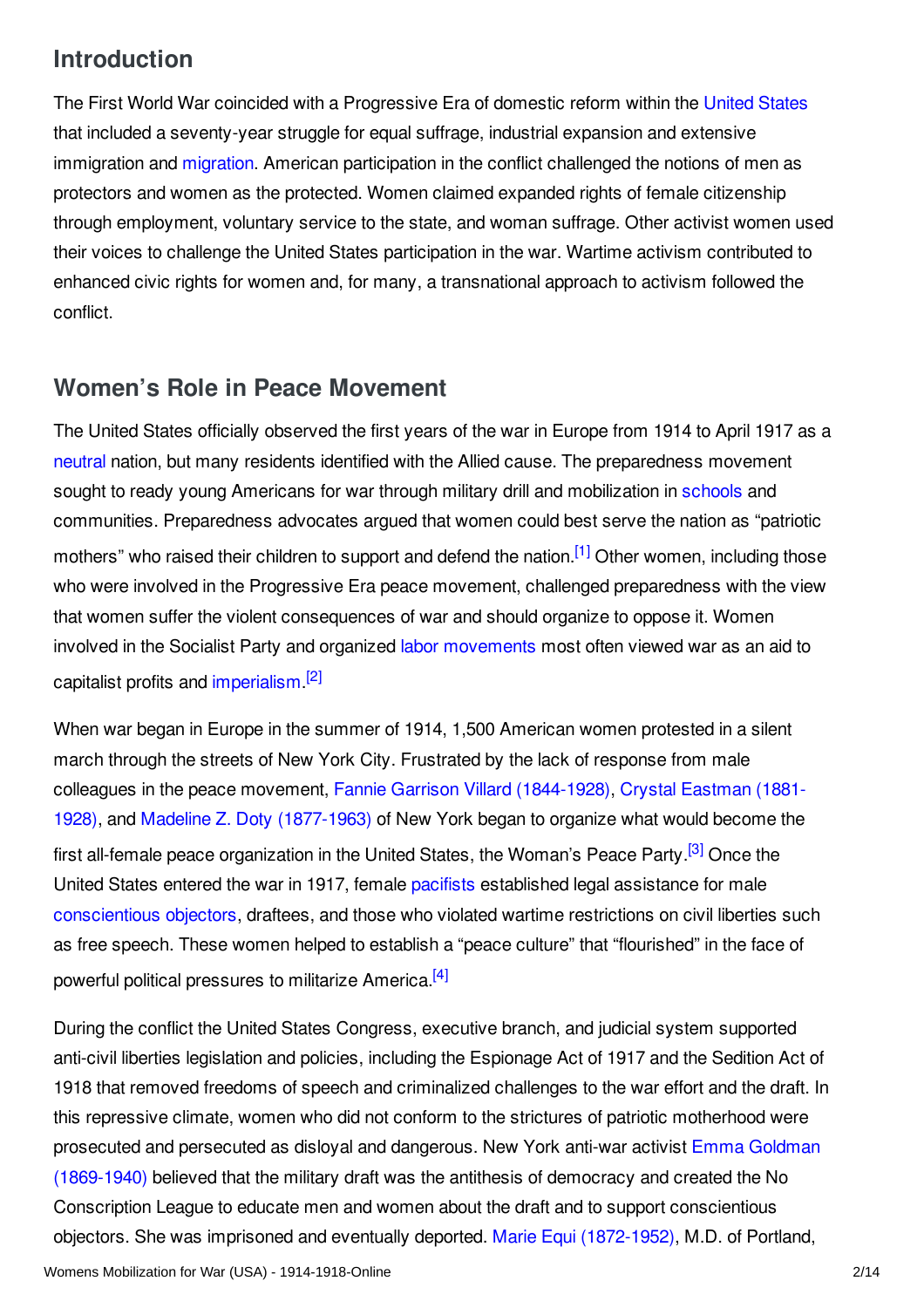# <span id="page-1-0"></span>**Introduction**

The First World War coincided with a Progressive Era of domestic reform within the [United](/article/united_states_of_america) States that included a seventy-year struggle for equal suffrage, industrial expansion and extensive im[migration](/article/migration_and_mobility) and migration. American participation in the conflict challenged the notions of men as protectors and women as the protected. Women claimed expanded rights of female citizenship through employment, voluntary service to the state, and woman suffrage. Other activist women used their voices to challenge the United States participation in the war. Wartime activism contributed to enhanced civic rights for women and, for many, a transnational approach to activism followed the conflict.

## <span id="page-1-1"></span>**Women's Role in Peace Movement**

<span id="page-1-2"></span>The United States officially observed the first years of the war in Europe from 1914 to April 1917 as a [neutral](/article/neutrality) nation, but many residents identified with the Allied cause. The preparedness movement sought to ready young Americans for war through military drill and mobilization in [schools](/article/schools_and_universities) and communities. Preparedness advocates argued that women could best serve the nation as "patriotic mothers" who raised their children to support and defend the nation.<sup>[\[1\]](#page-9-1)</sup> Other women, including those who were involved in the Progressive Era peace movement, challenged preparedness with the view that women suffer the violent consequences of war and should organize to oppose it. Women involved in the Socialist Party and organized labor [movements](/article/labour_movements_trade_unions_and_strikes_usa) most often viewed war as an aid to capitalist profits and [imperialism](/article/imperialism).<sup>[\[2\]](#page-9-2)</sup>

<span id="page-1-4"></span><span id="page-1-3"></span>When war began in Europe in the summer of 1914, 1,500 American women protested in a silent march through the streets of New York City. Frustrated by the lack of response from male colleagues in the peace movement, Fannie Garrison Villard [\(1844-1928](/index/names/1058620223)[\),](/index/names/133298515) Crystal Eastman (1881- 1928), and Madeline Z. Doty [\(1877-1963\)](/index/names/1055265473) of New York began to organize what would become the first all-female peace organization in the United States, the Woman's Peace Party.<sup>[\[3\]](#page-9-3)</sup> Once the United States entered the war in 1917, female [pacifists](/article/pacifism) established legal assistance for male [conscientious](/article/conscientious_objectors) objectors, draftees, and those who violated wartime restrictions on civil liberties such as free speech. These women helped to establish a "peace culture" that "flourished" in the face of powerful political pressures to militarize America.<sup>[\[4\]](#page-9-4)</sup>

<span id="page-1-5"></span>During the conflict the United States Congress, executive branch, and judicial system supported anti-civil liberties legislation and policies, including the Espionage Act of 1917 and the Sedition Act of 1918 that removed freedoms of speech and criminalized challenges to the war effort and the draft. In this repressive climate, women who did not conform to the strictures of patriotic motherhood were prosecuted and persecuted as disloyal and dangerous. New York anti-war activist Emma Goldman [\(1869-1940\)](/index/names/118540475) believed that the military draft was the antithesis of democracy and created the No Conscription League to educate men and women about the draft and to support conscientious objectors. She was imprisoned and eventually deported. Marie Equi [\(1872-1952\)](/index/names/1058620339), M.D. of Portland,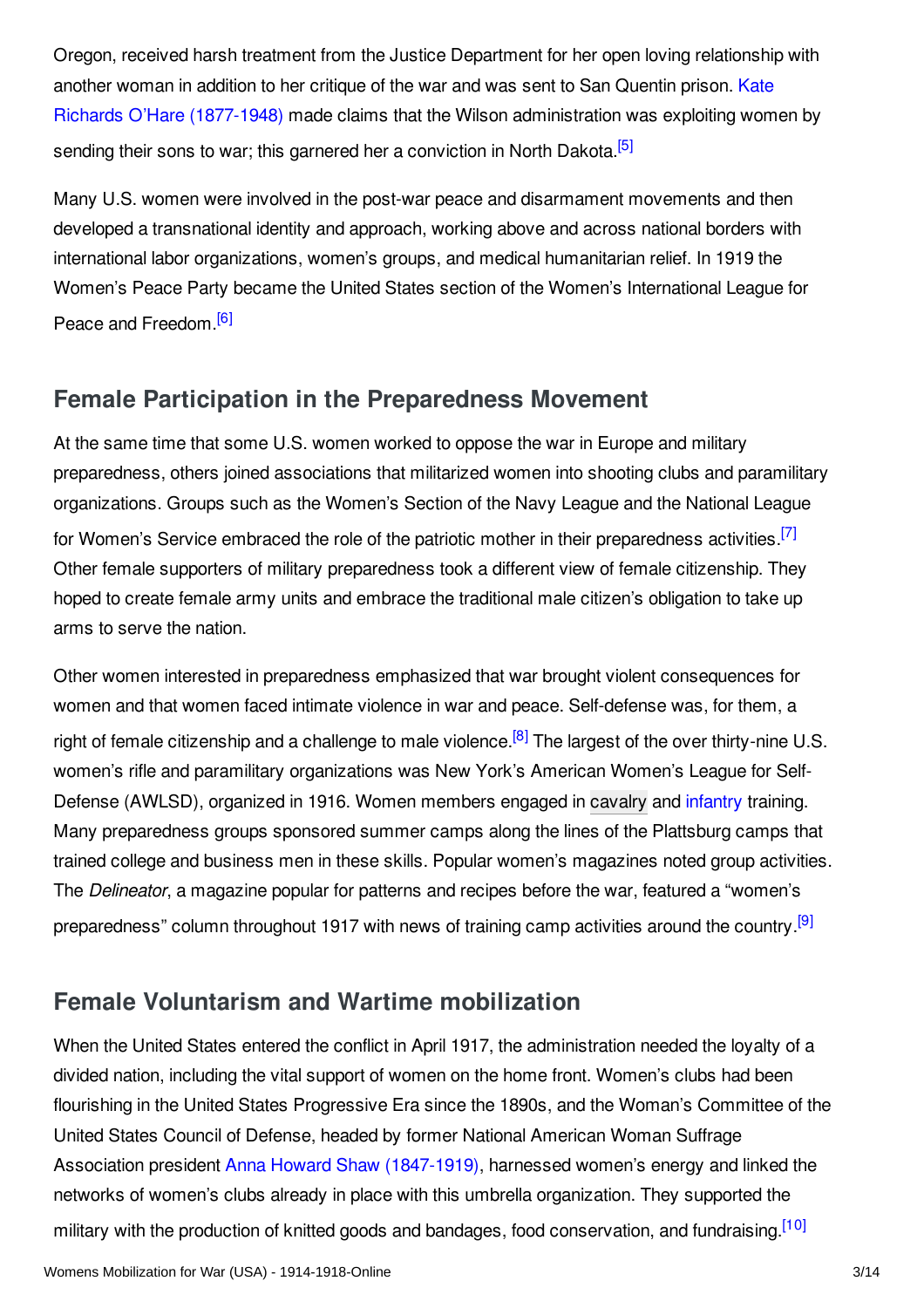Oregon, received harsh treatment from the Justice Department for her open loving relationship with another woman in addition to her critique of the war and was sent to San Quentin prison. Kate Richards O'Hare (1877-1948) made claims that the Wilson [administration](/index/names/122878027) was exploiting women by sending their sons to war; this garnered her a conviction in North Dakota.<sup>[\[5\]](#page-9-5)</sup>

<span id="page-2-2"></span>Many U.S. women were involved in the post-war peace and disarmament movements and then developed a transnational identity and approach, working above and across national borders with international labor organizations, women's groups, and medical humanitarian relief. In 1919 the Women's Peace Party became the United States section of the Women's International League for Peace and Freedom.<sup>[\[6\]](#page-9-6)</sup>

## <span id="page-2-3"></span><span id="page-2-0"></span>**Female Participation in the Preparedness Movement**

<span id="page-2-4"></span>At the same time that some U.S. women worked to oppose the war in Europe and military preparedness, others joined associations that militarized women into shooting clubs and paramilitary organizations. Groups such as the Women's Section of the Navy League and the National League for Women's Service embraced the role of the patriotic mother in their preparedness activities.<sup>[\[7\]](#page-9-7)</sup> Other female supporters of military preparedness took a different view of female citizenship. They hoped to create female army units and embrace the traditional male citizen's obligation to take up arms to serve the nation.

<span id="page-2-5"></span>Other women interested in preparedness emphasized that war brought violent consequences for women and that women faced intimate violence in war and peace. Self-defense was, for them, a right of female citizenship and a challenge to male violence.<sup>[\[8\]](#page-9-8)</sup> The largest of the over thirty-nine U.S. women's rifle and paramilitary organizations was New York's American Women's League for Self-Defense (AWLSD), organized in 1916. Women members engaged in [cavalry](/article/cavalry) and [infantry](/article/infantry) training. Many preparedness groups sponsored summer camps along the lines of the Plattsburg camps that trained college and business men in these skills. Popular women's magazines noted group activities. The *Delineator*, a magazine popular for patterns and recipes before the war, featured a "women's preparedness" column throughout 1917 with news of training camp activities around the country.<sup>[\[9\]](#page-9-9)</sup>

# <span id="page-2-6"></span><span id="page-2-1"></span>**Female Voluntarism and Wartime mobilization**

<span id="page-2-7"></span>When the United States entered the conflict in April 1917, the administration needed the loyalty of a divided nation, including the vital support of women on the home front. Women's clubs had been flourishing in the United States Progressive Era since the 1890s, and the Woman's Committee of the United States Council of Defense, headed by former National American Woman Suffrage Association president Anna Howard Shaw [\(1847-1919\)](/index/names/118988395), harnessed women's energy and linked the networks of women's clubs already in place with this umbrella organization. They supported the military with the production of knitted goods and bandages, food conservation, and fundraising.<sup>[\[10\]](#page-9-10)</sup>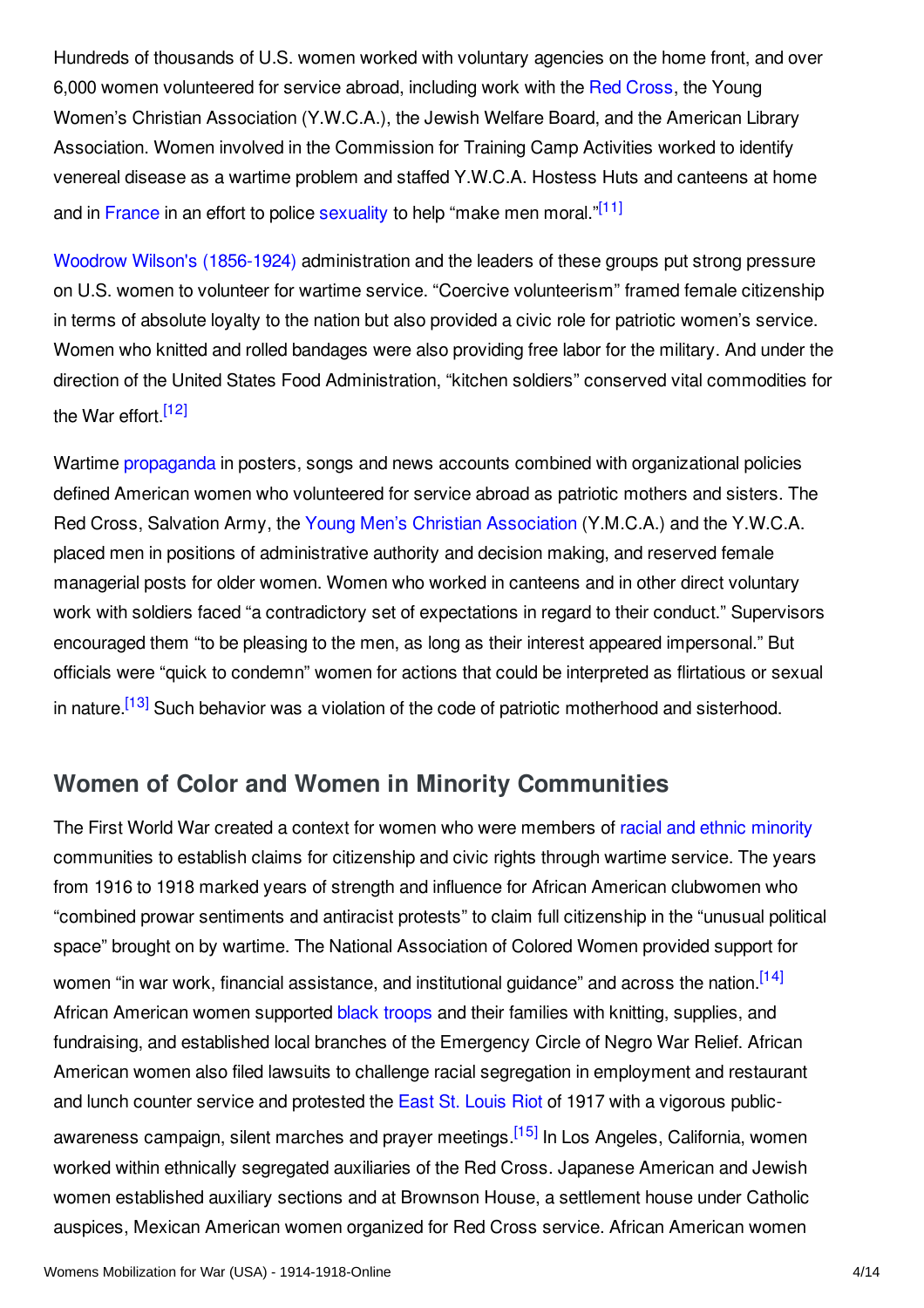Hundreds of thousands of U.S. women worked with voluntary agencies on the home front, and over 6,000 women volunteered for service abroad, including work with the Red [Cross](/article/international_committee_of_the_red_cross), the Young Women's Christian Association (Y.W.C.A.), the Jewish Welfare Board, and the American Library Association. Women involved in the Commission for Training Camp Activities worked to identify venereal disease as a wartime problem and staffed Y.W.C.A. Hostess Huts and canteens at home and in [France](/article/france) in an effort to police [sexuality](/article/sexuality_sexual_relations_homosexuality) to help "make men moral."<sup>[\[11\]](#page-9-11)</sup>

<span id="page-3-1"></span>Woodrow Wilson's [\(1856-1924\)](/index/names/118643401) administration and the leaders of these groups put strong pressure on U.S. women to volunteer for wartime service. "Coercive volunteerism" framed female citizenship in terms of absolute loyalty to the nation but also provided a civic role for patriotic women's service. Women who knitted and rolled bandages were also providing free labor for the military. And under the direction of the United States Food Administration, "kitchen soldiers" conserved vital commodities for the War effort.<sup>[\[12\]](#page-9-12)</sup>

<span id="page-3-2"></span>Wartime [propaganda](/article/propaganda_at_home_usa) in posters, songs and news accounts combined with organizational policies defined American women who volunteered for service abroad as patriotic mothers and sisters. The Red Cross, Salvation Army, the Young Men's Christian [Association](/article/young_mens_christian_association_ymca) (Y.M.C.A.) and the Y.W.C.A. placed men in positions of administrative authority and decision making, and reserved female managerial posts for older women. Women who worked in canteens and in other direct voluntary work with soldiers faced "a contradictory set of expectations in regard to their conduct." Supervisors encouraged them "to be pleasing to the men, as long as their interest appeared impersonal." But officials were "quick to condemn" women for actions that could be interpreted as flirtatious or sexual in nature.<sup>[\[13\]](#page-9-13)</sup> Such behavior was a violation of the code of patriotic motherhood and sisterhood.

## <span id="page-3-3"></span><span id="page-3-0"></span>**Women of Color and Women in Minority Communities**

<span id="page-3-5"></span><span id="page-3-4"></span>The First World War created a context for women who were members of racial and ethnic [minority](/article/shifts_and_tensions_in_ethnicnational_groups) communities to establish claims for citizenship and civic rights through wartime service. The years from 1916 to 1918 marked years of strength and influence for African American clubwomen who "combined prowar sentiments and antiracist protests" to claim full citizenship in the "unusual political space" brought on by wartime. The National Association of Colored Women provided support for women "in war work, financial assistance, and institutional guidance" and across the nation.<sup>[\[14\]](#page-9-14)</sup> African American women supported black [troops](/article/african_american_soldiers_usa) and their families with knitting, supplies, and fundraising, and established local branches of the Emergency Circle of Negro War Relief. African American women also filed lawsuits to challenge racial segregation in employment and restaurant and lunch counter service and protested the East St. [Louis](/article/us_race_riots) Riot of 1917 with a vigorous public-awareness campaign, silent marches and prayer meetings.<sup>[\[15\]](#page-9-15)</sup> In Los Angeles, California, women worked within ethnically segregated auxiliaries of the Red Cross. Japanese American and Jewish women established auxiliary sections and at Brownson House, a settlement house under Catholic auspices, Mexican American women organized for Red Cross service. African American women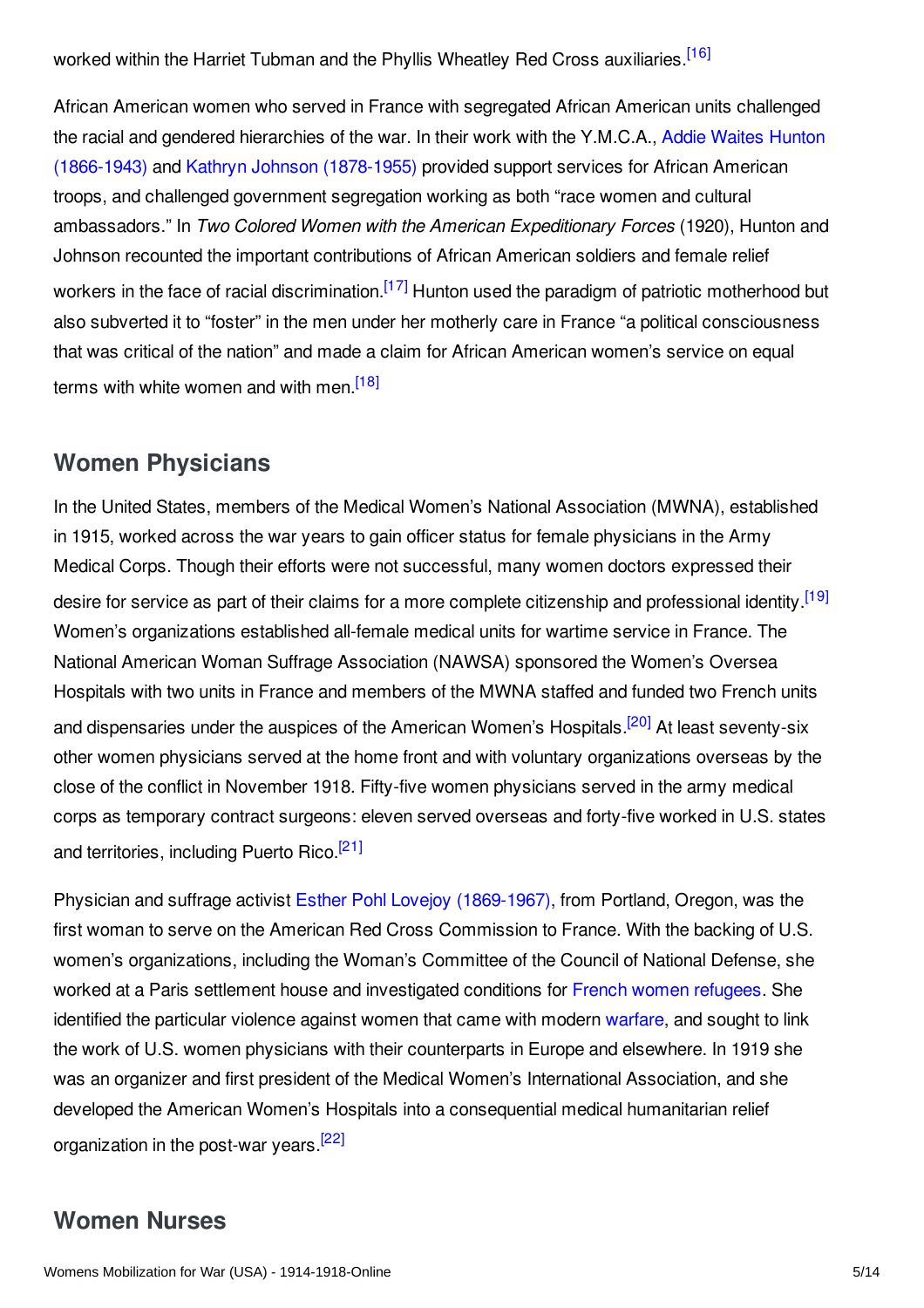<span id="page-4-2"></span>worked within the Harriet Tubman and the Phyllis Wheatley Red Cross auxiliaries.<sup>[\[16\]](#page-9-16)</sup>

African American women who served in France with segregated African American units challenged the racial and gendered hierarchies of the war. In their work with the Y.M.C.A., Addie Waites Hunton (1866-1943) and Kathryn Johnson [\(1878-1955\)](/index/names/1058620444) provided support services for African American troops, and challenged government segregation working as both "race women and cultural ambassadors." In *Two Colored Women with the American Expeditionary Forces* (1920), Hunton and Johnson recounted the important contributions of African American soldiers and female relief workers in the face of racial discrimination.<sup>[\[17\]](#page-9-17)</sup> Hunton used the paradigm of patriotic motherhood but also subverted it to "foster" in the men under her motherly care in France "a political consciousness that was critical of the nation" and made a claim for African American women's service on equal terms with white women and with men.<sup>[\[18\]](#page-9-18)</sup>

## <span id="page-4-4"></span><span id="page-4-3"></span><span id="page-4-0"></span>**Women Physicians**

<span id="page-4-5"></span>In the United States, members of the Medical Women's National Association (MWNA), established in 1915, worked across the war years to gain officer status for female physicians in the Army Medical Corps. Though their efforts were not successful, many women doctors expressed their desire for service as part of their claims for a more complete citizenship and professional identity.<sup>[\[19\]](#page-10-0)</sup> Women's organizations established all-female medical units for wartime service in France. The National American Woman Suffrage Association (NAWSA) sponsored the Women's Oversea Hospitals with two units in France and members of the MWNA staffed and funded two French units and dispensaries under the auspices of the American Women's Hospitals.<sup>[\[20\]](#page-10-1)</sup> At least seventy-six other women physicians served at the home front and with voluntary organizations overseas by the close of the conflict in November 1918. Fifty-five women physicians served in the army medical corps as temporary contract surgeons: eleven served overseas and forty-five worked in U.S. states and territories, including Puerto Rico.<sup>[\[21\]](#page-10-2)</sup>

<span id="page-4-7"></span><span id="page-4-6"></span>Physician and suffrage activist Esther Pohl Lovejoy [\(1869-1967\)](/index/names/1031460454), from Portland, Oregon, was the first woman to serve on the American Red Cross Commission to France. With the backing of U.S. women's organizations, including the Woman's Committee of the Council of National Defense, she worked at a Paris settlement house and investigated conditions for French women [refugees](/article/refugees_france). She identified the particular violence against women that came with modern [warfare](/article/warfare_1917-1918_usa), and sought to link the work of U.S. women physicians with their counterparts in Europe and elsewhere. In 1919 she was an organizer and first president of the Medical Women's International Association, and she developed the American Women's Hospitals into a consequential medical humanitarian relief organization in the post-war years.<sup>[\[22\]](#page-10-3)</sup>

# <span id="page-4-8"></span><span id="page-4-1"></span>**Women Nurses**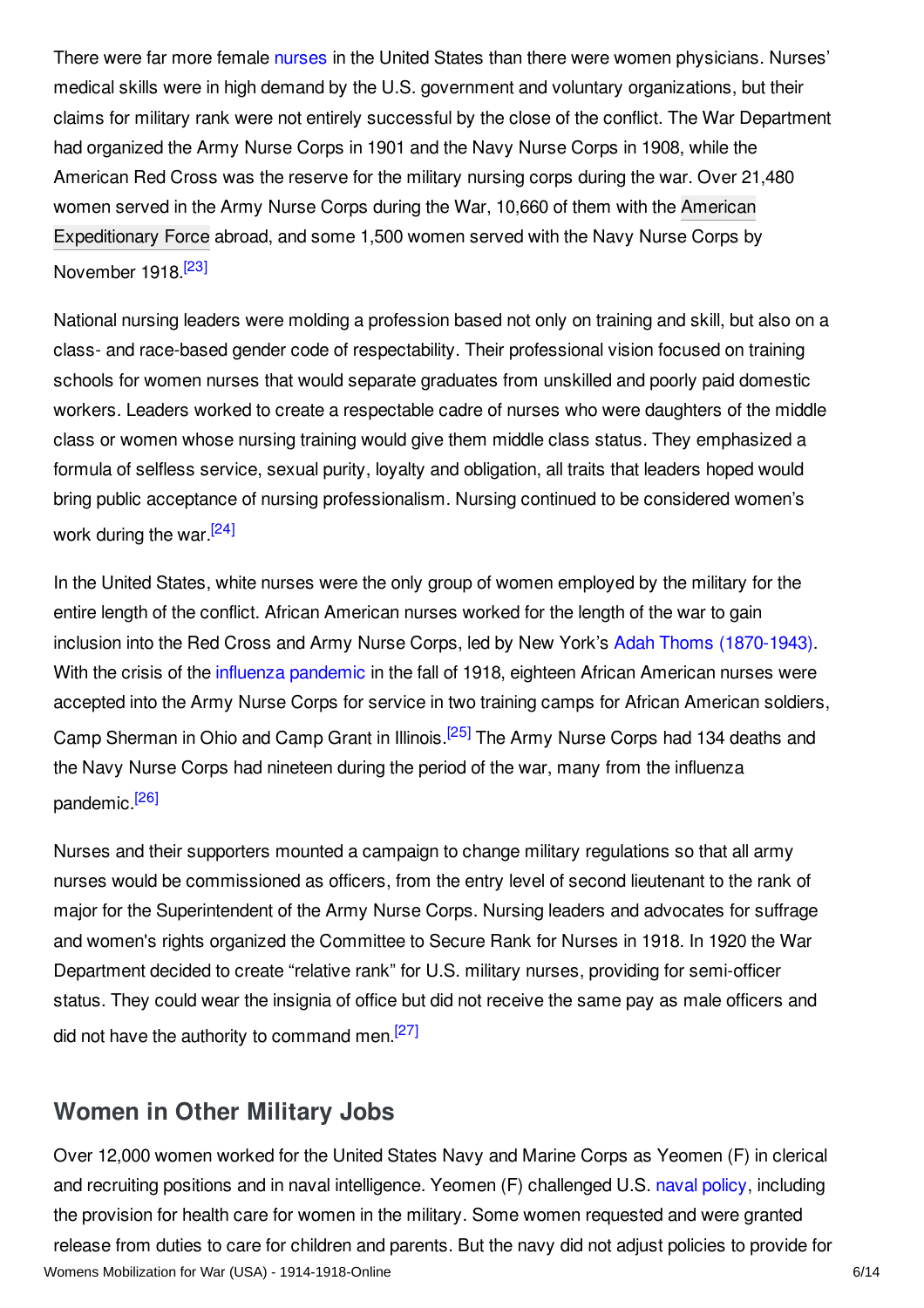There were far more female [nurses](/index/names/4079163-4) in the United States than there were women physicians. Nurses' medical skills were in high demand by the U.S. government and voluntary organizations, but their claims for military rank were not entirely successful by the close of the conflict. The War Department had organized the Army Nurse Corps in 1901 and the Navy Nurse Corps in 1908, while the American Red Cross was the reserve for the military nursing corps during the war. Over 21,480 women served in the Army Nurse Corps during the War, 10,660 of them with the American [Expeditionary](/article/american_expeditionary_forces) Force abroad, and some 1,500 women served with the Navy Nurse Corps by November 1918.<sup>[\[23\]](#page-10-4)</sup>

<span id="page-5-1"></span>National nursing leaders were molding a profession based not only on training and skill, but also on a class- and race-based gender code of respectability. Their professional vision focused on training schools for women nurses that would separate graduates from unskilled and poorly paid domestic workers. Leaders worked to create a respectable cadre of nurses who were daughters of the middle class or women whose nursing training would give them middle class status. They emphasized a formula of selfless service, sexual purity, loyalty and obligation, all traits that leaders hoped would bring public acceptance of nursing professionalism. Nursing continued to be considered women's work during the war.<sup>[\[24\]](#page-10-5)</sup>

<span id="page-5-2"></span>In the United States, white nurses were the only group of women employed by the military for the entire length of the conflict. African American nurses worked for the length of the war to gain inclusion into the Red Cross and Army Nurse Corps, led by New York's Adah Thoms [\(1870-1943\)](/index/names/1058620851). With the crisis of the *influenza [pandemic](/article/influenza_pandemic)* in the fall of 1918, eighteen African American nurses were accepted into the Army Nurse Corps for service in two training camps for African American soldiers, Camp Sherman in Ohio and Camp Grant in Illinois.<sup>[\[25\]](#page-10-6)</sup> The Army Nurse Corps had 134 deaths and the Navy Nurse Corps had nineteen during the period of the war, many from the influenza pandemic.<sup>[\[26\]](#page-10-7)</sup>

<span id="page-5-4"></span><span id="page-5-3"></span>Nurses and their supporters mounted a campaign to change military regulations so that all army nurses would be commissioned as officers, from the entry level of second lieutenant to the rank of major for the Superintendent of the Army Nurse Corps. Nursing leaders and advocates for suffrage and women's rights organized the Committee to Secure Rank for Nurses in 1918. In 1920 the War Department decided to create "relative rank" for U.S. military nurses, providing for semi-officer status. They could wear the insignia of office but did not receive the same pay as male officers and did not have the authority to command men.<sup>[\[27\]](#page-10-8)</sup>

## <span id="page-5-5"></span><span id="page-5-0"></span>**Women in Other Military Jobs**

Over 12,000 women worked for the United States Navy and Marine Corps as Yeomen (F) in clerical and recruiting positions and in naval intelligence. Yeomen (F) challenged U.S. naval [policy](/article/naval_warfare_usa), including the provision for health care for women in the military. Some women requested and were granted release from duties to care for children and parents. But the navy did not adjust policies to provide for Womens Mobilization for War (USA) - 1914-1918-Online 6/14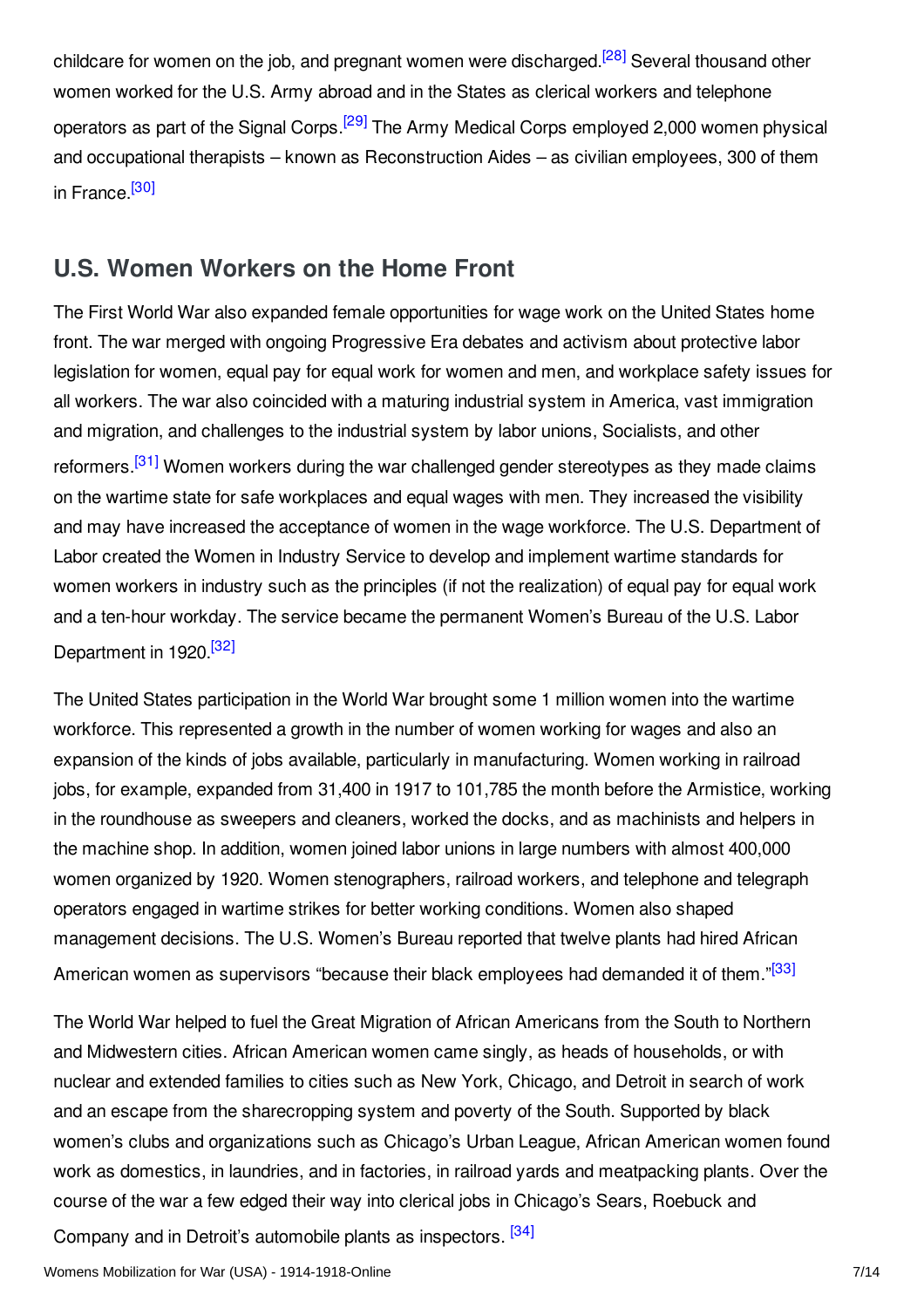<span id="page-6-2"></span><span id="page-6-1"></span>childcare for women on the job, and pregnant women were discharged.<sup>[\[28\]](#page-10-9)</sup> Several thousand other women worked for the U.S. Army abroad and in the States as clerical workers and telephone operators as part of the Signal Corps.<sup>[\[29\]](#page-10-10)</sup> The Army Medical Corps employed 2,000 women physical and occupational therapists – known as Reconstruction Aides – as civilian employees, 300 of them in France.<sup>[\[30\]](#page-10-11)</sup>

## <span id="page-6-3"></span><span id="page-6-0"></span>**U.S. Women Workers on the Home Front**

<span id="page-6-4"></span>The First World War also expanded female opportunities for wage work on the United States home front. The war merged with ongoing Progressive Era debates and activism about protective labor legislation for women, equal pay for equal work for women and men, and workplace safety issues for all workers. The war also coincided with a maturing industrial system in America, vast immigration and migration, and challenges to the industrial system by labor unions, Socialists, and other reformers.<sup>[\[31\]](#page-10-12)</sup> Women workers during the war challenged gender stereotypes as they made claims on the wartime state for safe workplaces and equal wages with men. They increased the visibility and may have increased the acceptance of women in the wage workforce. The U.S. Department of Labor created the Women in Industry Service to develop and implement wartime standards for women workers in industry such as the principles (if not the realization) of equal pay for equal work and a ten-hour workday. The service became the permanent Women's Bureau of the U.S. Labor Department in 1920.<sup>[\[32\]](#page-10-13)</sup>

<span id="page-6-5"></span>The United States participation in the World War brought some 1 million women into the wartime workforce. This represented a growth in the number of women working for wages and also an expansion of the kinds of jobs available, particularly in manufacturing. Women working in railroad jobs, for example, expanded from 31,400 in 1917 to 101,785 the month before the Armistice, working in the roundhouse as sweepers and cleaners, worked the docks, and as machinists and helpers in the machine shop. In addition, women joined labor unions in large numbers with almost 400,000 women organized by 1920. Women stenographers, railroad workers, and telephone and telegraph operators engaged in wartime strikes for better working conditions. Women also shaped management decisions. The U.S. Women's Bureau reported that twelve plants had hired African American women as supervisors "because their black employees had demanded it of them."<sup>[\[33\]](#page-10-14)</sup>

<span id="page-6-6"></span>The World War helped to fuel the Great Migration of African Americans from the South to Northern and Midwestern cities. African American women came singly, as heads of households, or with nuclear and extended families to cities such as New York, Chicago, and Detroit in search of work and an escape from the sharecropping system and poverty of the South. Supported by black women's clubs and organizations such as Chicago's Urban League, African American women found work as domestics, in laundries, and in factories, in railroad yards and meatpacking plants. Over the course of the war a few edged their way into clerical jobs in Chicago's Sears, Roebuck and

<span id="page-6-7"></span>Company and in Detroit's automobile plants as inspectors. <sup>[\[34\]](#page-10-15)</sup>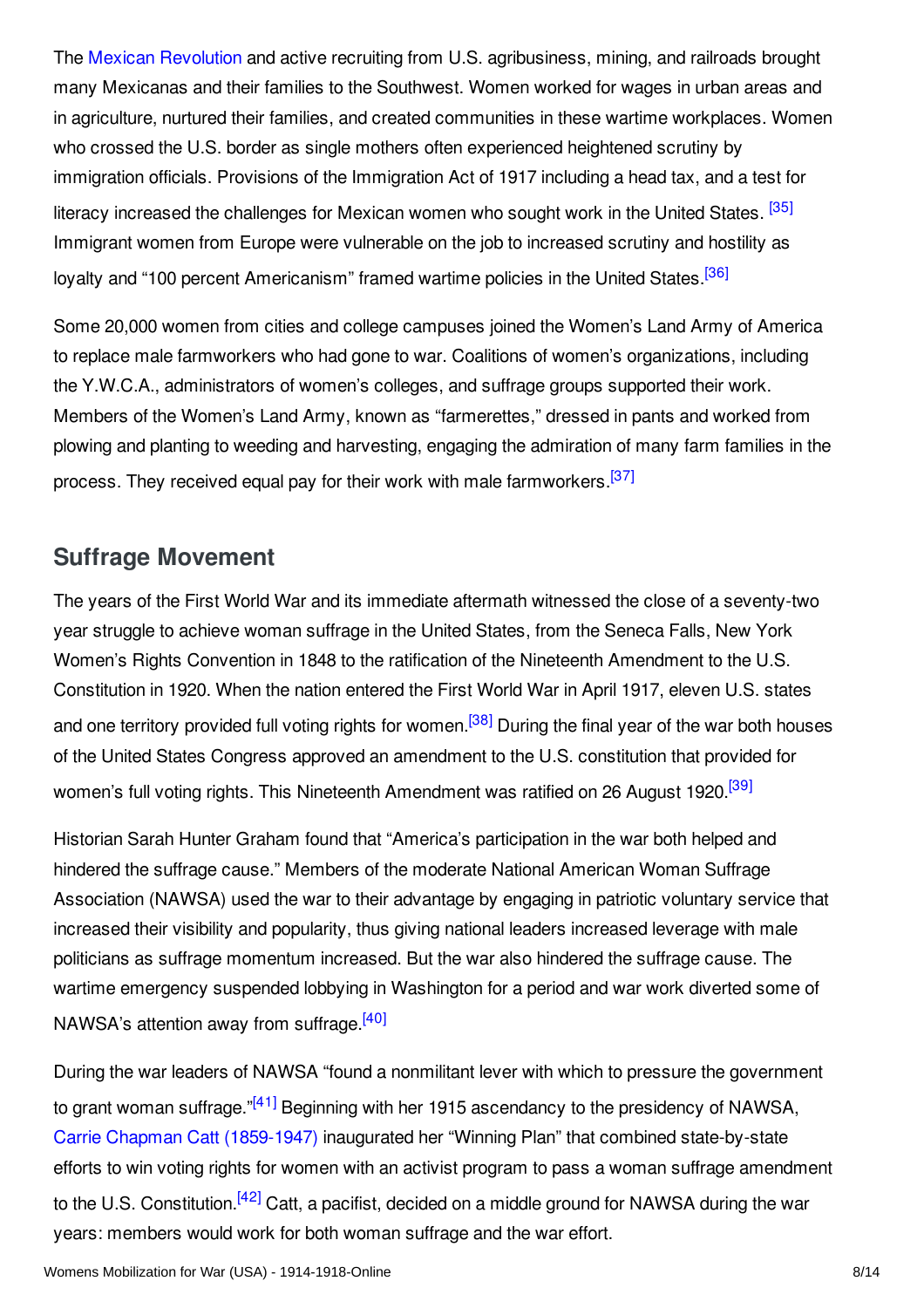The Mexican [Revolution](/article/mexican_revolution) and active recruiting from U.S. agribusiness, mining, and railroads brought many Mexicanas and their families to the Southwest. Women worked for wages in urban areas and in agriculture, nurtured their families, and created communities in these wartime workplaces. Women who crossed the U.S. border as single mothers often experienced heightened scrutiny by immigration officials. Provisions of the Immigration Act of 1917 including a head tax, and a test for literacy increased the challenges for Mexican women who sought work in the United States. <sup>[\[35\]](#page-10-16)</sup> Immigrant women from Europe were vulnerable on the job to increased scrutiny and hostility as loyalty and "100 percent Americanism" framed wartime policies in the United States <sup>[\[36\]](#page-10-17)</sup>

<span id="page-7-2"></span><span id="page-7-1"></span>Some 20,000 women from cities and college campuses joined the Women's Land Army of America to replace male farmworkers who had gone to war. Coalitions of women's organizations, including the Y.W.C.A., administrators of women's colleges, and suffrage groups supported their work. Members of the Women's Land Army, known as "farmerettes," dressed in pants and worked from plowing and planting to weeding and harvesting, engaging the admiration of many farm families in the process. They received equal pay for their work with male farmworkers.<sup>[\[37\]](#page-10-18)</sup>

## <span id="page-7-3"></span><span id="page-7-0"></span>**Suffrage Movement**

<span id="page-7-4"></span>The years of the First World War and its immediate aftermath witnessed the close of a seventy-two year struggle to achieve woman suffrage in the United States, from the Seneca Falls, New York Women's Rights Convention in 1848 to the ratification of the Nineteenth Amendment to the U.S. Constitution in 1920. When the nation entered the First World War in April 1917, eleven U.S. states and one territory provided full voting rights for women.<sup>[\[38\]](#page-10-19)</sup> During the final year of the war both houses of the United States Congress approved an amendment to the U.S. constitution that provided for women's full voting rights. This Nineteenth Amendment was ratified on 26 August 1920.<sup>[\[39\]](#page-11-1)</sup>

<span id="page-7-5"></span>Historian Sarah Hunter Graham found that "America's participation in the war both helped and hindered the suffrage cause." Members of the moderate National American Woman Suffrage Association (NAWSA) used the war to their advantage by engaging in patriotic voluntary service that increased their visibility and popularity, thus giving national leaders increased leverage with male politicians as suffrage momentum increased. But the war also hindered the suffrage cause. The wartime emergency suspended lobbying in Washington for a period and war work diverted some of NAWSA's attention away from suffrage.<sup>[\[40\]](#page-11-2)</sup>

<span id="page-7-8"></span><span id="page-7-7"></span><span id="page-7-6"></span>During the war leaders of NAWSA "found a nonmilitant lever with which to pressure the government to grant woman suffrage."<sup>[\[41\]](#page-11-3)</sup> Beginning with her 1915 ascendancy to the presidency of NAWSA, Carrie Chapman Catt [\(1859-1947\)](/index/names/117648884) inaugurated her "Winning Plan" that combined state-by-state efforts to win voting rights for women with an activist program to pass a woman suffrage amendment to the U.S. Constitution.<sup>[\[42\]](#page-11-4)</sup> Catt, a pacifist, decided on a middle ground for NAWSA during the war years: members would work for both woman suffrage and the war effort.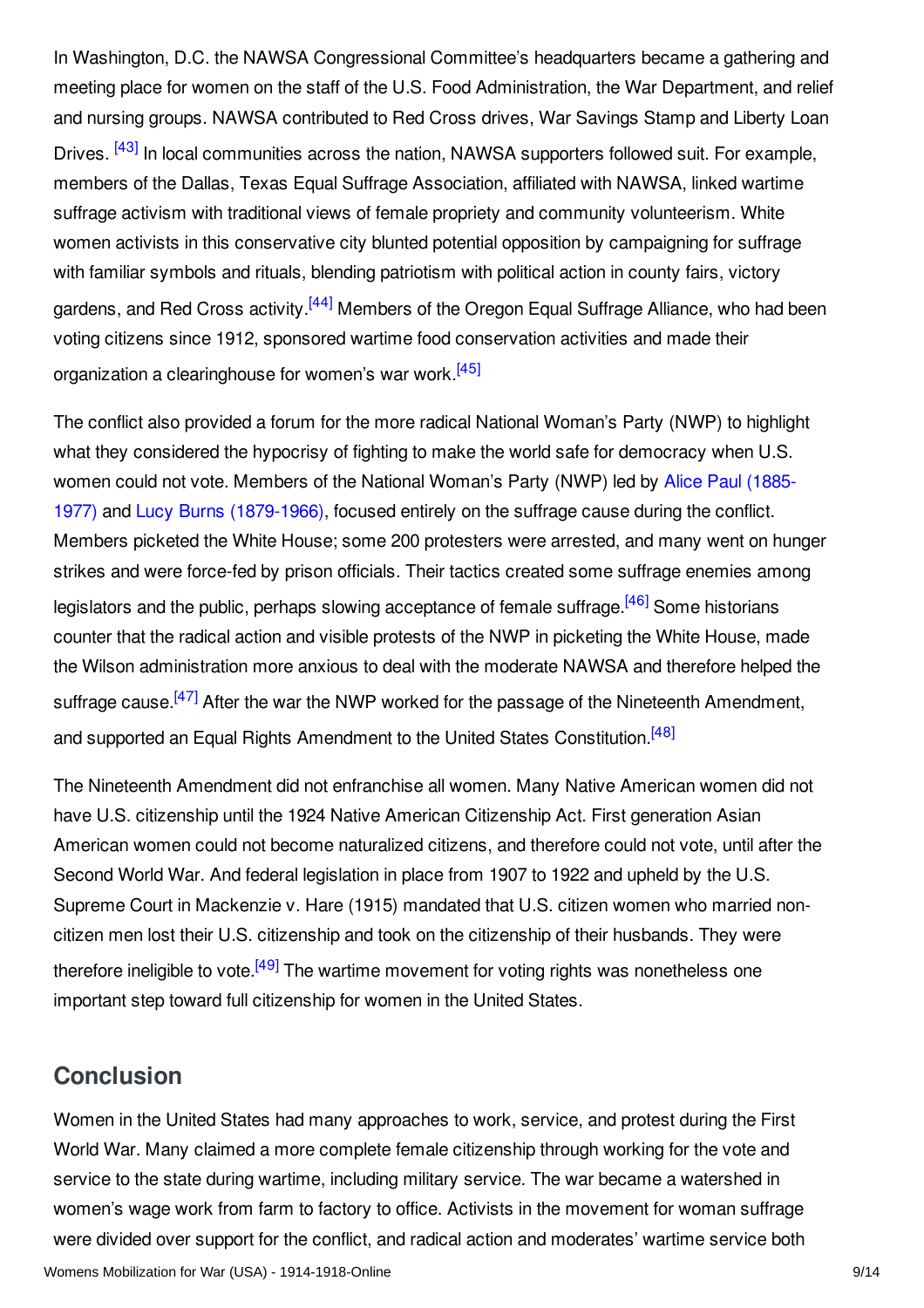<span id="page-8-1"></span>In Washington, D.C. the NAWSA Congressional Committee's headquarters became a gathering and meeting place for women on the staff of the U.S. Food Administration, the War Department, and relief and nursing groups. NAWSA contributed to Red Cross drives, War Savings Stamp and Liberty Loan Drives. <sup>[\[43\]](#page-11-5)</sup> In local communities across the nation, NAWSA supporters followed suit. For example, members of the Dallas, Texas Equal Suffrage Association, affiliated with NAWSA, linked wartime suffrage activism with traditional views of female propriety and community volunteerism. White women activists in this conservative city blunted potential opposition by campaigning for suffrage with familiar symbols and rituals, blending patriotism with political action in county fairs, victory gardens, and Red Cross activity.<sup>[\[44\]](#page-11-6)</sup> Members of the Oregon Equal Suffrage Alliance, who had been voting citizens since 1912, sponsored wartime food conservation activities and made their organization a clearinghouse for women's war work.<sup>[\[45\]](#page-11-7)</sup>

<span id="page-8-4"></span><span id="page-8-3"></span><span id="page-8-2"></span>The conflict also provided a forum for the more radical National Woman's Party (NWP) to highlight what they considered the hypocrisy of fighting to make the world safe for democracy when U.S. women could not vote. Members of the National Woman's Party (NWP) led by Alice Paul (1885- 1977) and Lucy Burns [\(1879-1966\),](/index/names/13556929X) focused entirely on the suffrage cause during the conflict. Members picketed the White House; some 200 protesters were arrested, and many went on hunger strikes and were force-fed by prison officials. Their tactics created some suffrage enemies among legislators and the public, perhaps slowing acceptance of female suffrage.<sup>[\[46\]](#page-11-8)</sup> Some historians counter that the radical action and visible protests of the NWP in picketing the White House, made the Wilson administration more anxious to deal with the moderate NAWSA and therefore helped the suffrage cause.<sup>[\[47\]](#page-11-9)</sup> After the war the NWP worked for the passage of the Nineteenth Amendment, and supported an Equal Rights Amendment to the United States Constitution.<sup>[\[48\]](#page-11-10)</sup>

<span id="page-8-6"></span><span id="page-8-5"></span>The Nineteenth Amendment did not enfranchise all women. Many Native American women did not have U.S. citizenship until the 1924 Native American Citizenship Act. First generation Asian American women could not become naturalized citizens, and therefore could not vote, until after the Second World War. And federal legislation in place from 1907 to 1922 and upheld by the U.S. Supreme Court in Mackenzie v. Hare (1915) mandated that U.S. citizen women who married noncitizen men lost their U.S. citizenship and took on the citizenship of their husbands. They were therefore ineligible to vote.<sup>[\[49\]](#page-11-11)</sup> The wartime movement for voting rights was nonetheless one important step toward full citizenship for women in the United States.

# <span id="page-8-7"></span><span id="page-8-0"></span>**Conclusion**

Women in the United States had many approaches to work, service, and protest during the First World War. Many claimed a more complete female citizenship through working for the vote and service to the state during wartime, including military service. The war became a watershed in women's wage work from farm to factory to office. Activists in the movement for woman suffrage were divided over support for the conflict, and radical action and moderates' wartime service both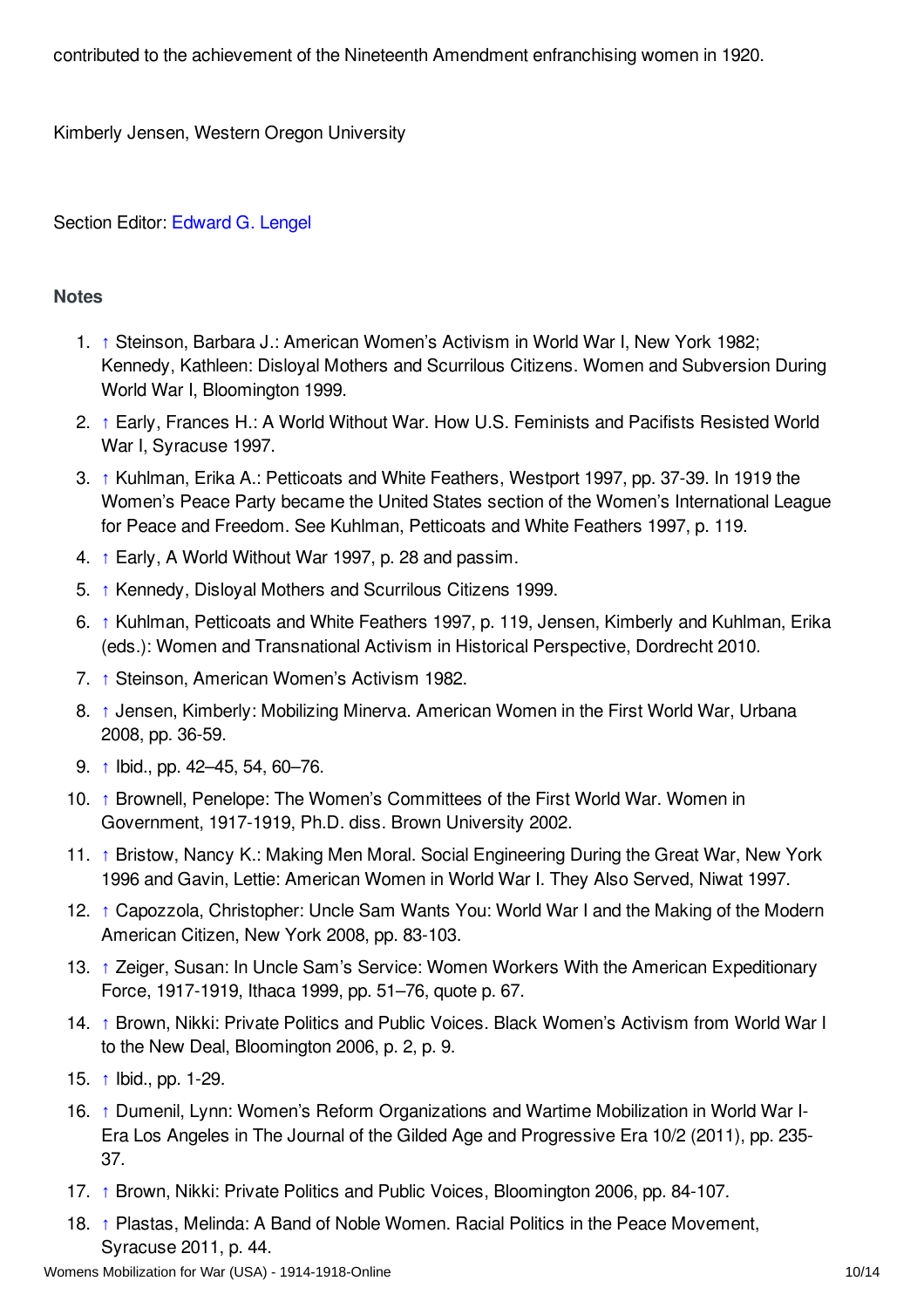contributed to the achievement of the Nineteenth Amendment enfranchising women in 1920.

Kimberly Jensen, Western Oregon University

Section Editor: [Edward](https://encyclopedia.1914-1918-online.net/contributors/Edward_G._Lengel) G. Lengel

#### <span id="page-9-0"></span>**Notes**

- <span id="page-9-1"></span>1. [↑](#page-1-2) Steinson, Barbara J.: American Women's Activism in World War I, New York 1982; Kennedy, Kathleen: Disloyal Mothers and Scurrilous Citizens. Women and Subversion During World War I, Bloomington 1999.
- <span id="page-9-2"></span>2. [↑](#page-1-3) Early, Frances H.: A World Without War. How U.S. Feminists and Pacifists Resisted World War I, Syracuse 1997.
- <span id="page-9-3"></span>3. [↑](#page-1-4) Kuhlman, Erika A.: Petticoats and White Feathers, Westport 1997, pp. 37-39. In 1919 the Women's Peace Party became the United States section of the Women's International League for Peace and Freedom. See Kuhlman, Petticoats and White Feathers 1997, p. 119.
- <span id="page-9-4"></span>4. [↑](#page-1-5) Early, A World Without War 1997, p. 28 and passim.
- <span id="page-9-5"></span>5. [↑](#page-2-2) Kennedy, Disloyal Mothers and Scurrilous Citizens 1999.
- <span id="page-9-6"></span>6. [↑](#page-2-3) Kuhlman, Petticoats and White Feathers 1997, p. 119, Jensen, Kimberly and Kuhlman, Erika (eds.): Women and Transnational Activism in Historical Perspective, Dordrecht 2010.
- <span id="page-9-7"></span>7. [↑](#page-2-4) Steinson, American Women's Activism 1982.
- <span id="page-9-8"></span>8. [↑](#page-2-5) Jensen, Kimberly: Mobilizing Minerva. American Women in the First World War, Urbana 2008, pp. 36-59.
- <span id="page-9-9"></span>9. [↑](#page-2-6) Ibid., pp. 42–45, 54, 60–76.
- <span id="page-9-10"></span>10. [↑](#page-2-7) Brownell, Penelope: The Women's Committees of the First World War. Women in Government, 1917-1919, Ph.D. diss. Brown University 2002.
- <span id="page-9-11"></span>11. [↑](#page-3-1) Bristow, Nancy K.: Making Men Moral. Social Engineering During the Great War, New York 1996 and Gavin, Lettie: American Women in World War I. They Also Served, Niwat 1997.
- <span id="page-9-12"></span>12. [↑](#page-3-2) Capozzola, Christopher: Uncle Sam Wants You: World War I and the Making of the Modern American Citizen, New York 2008, pp. 83-103.
- <span id="page-9-13"></span>13. [↑](#page-3-3) Zeiger, Susan: In Uncle Sam's Service: Women Workers With the American Expeditionary Force, 1917-1919, Ithaca 1999, pp. 51–76, quote p. 67.
- <span id="page-9-14"></span>14. [↑](#page-3-4) Brown, Nikki: Private Politics and Public Voices. Black Women's Activism from World War I to the New Deal, Bloomington 2006, p. 2, p. 9.
- <span id="page-9-15"></span>15. [↑](#page-3-5) Ibid., pp. 1-29.
- <span id="page-9-16"></span>16. [↑](#page-4-2) Dumenil, Lynn: Women's Reform Organizations and Wartime Mobilization in World War I-Era Los Angeles in The Journal of the Gilded Age and Progressive Era 10/2 (2011), pp. 235- 37.
- <span id="page-9-17"></span>17. [↑](#page-4-3) Brown, Nikki: Private Politics and Public Voices, Bloomington 2006, pp. 84-107.
- <span id="page-9-18"></span>18. [↑](#page-4-4) Plastas, Melinda: A Band of Noble Women. Racial Politics in the Peace Movement, Syracuse 2011, p. 44.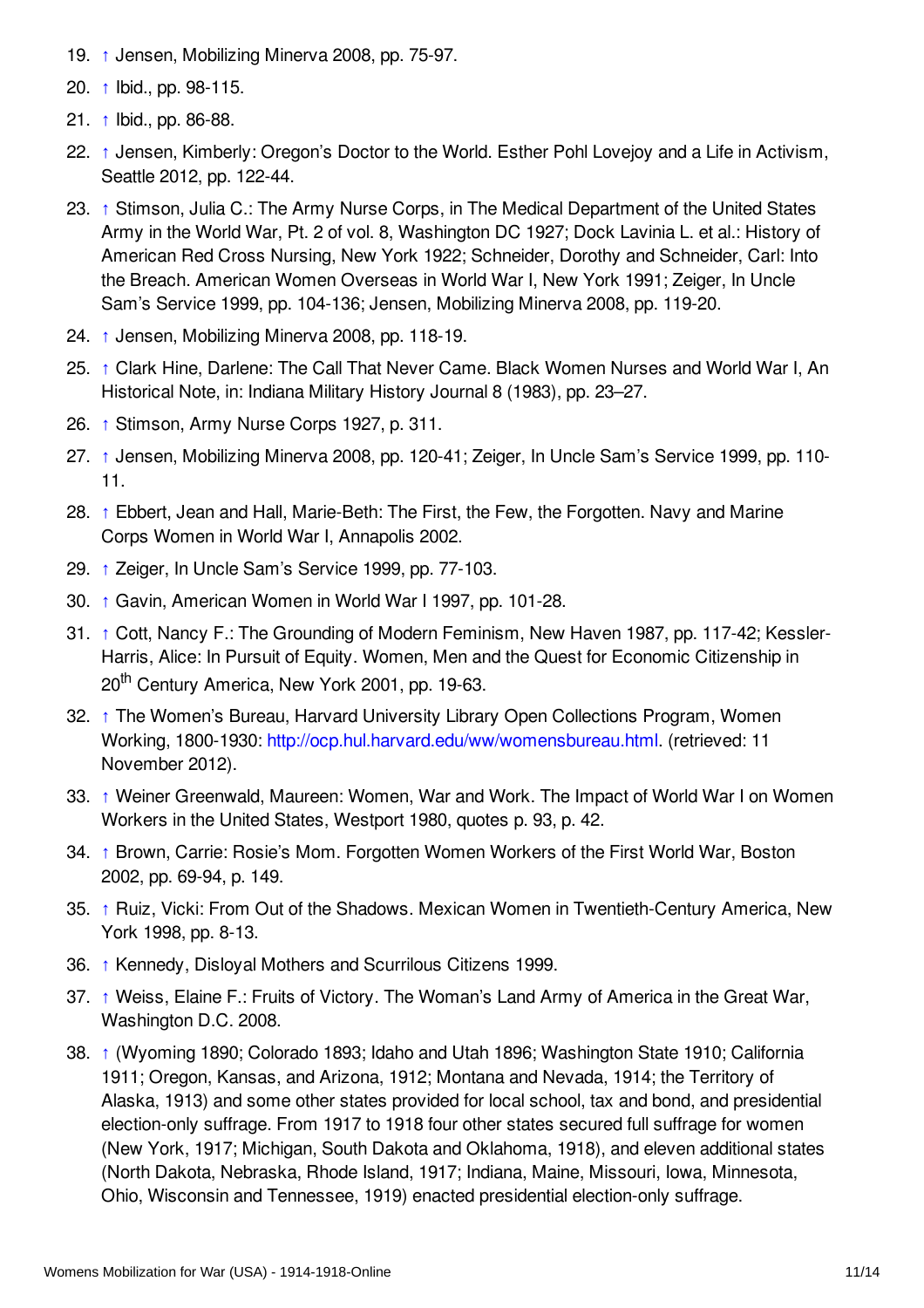- <span id="page-10-0"></span>19. [↑](#page-4-5) Jensen, Mobilizing Minerva 2008, pp. 75-97.
- <span id="page-10-1"></span>20. [↑](#page-4-6) Ibid., pp. 98-115.
- <span id="page-10-2"></span>21. [↑](#page-4-7) Ibid., pp. 86-88.
- <span id="page-10-3"></span>22. [↑](#page-4-8) Jensen, Kimberly: Oregon's Doctor to the World. Esther Pohl Lovejoy and a Life in Activism, Seattle 2012, pp. 122-44.
- <span id="page-10-4"></span>23. [↑](#page-5-1) Stimson, Julia C.: The Army Nurse Corps, in The Medical Department of the United States Army in the World War, Pt. 2 of vol. 8, Washington DC 1927; Dock Lavinia L. et al.: History of American Red Cross Nursing, New York 1922; Schneider, Dorothy and Schneider, Carl: Into the Breach. American Women Overseas in World War I, New York 1991; Zeiger, In Uncle Sam's Service 1999, pp. 104-136; Jensen, Mobilizing Minerva 2008, pp. 119-20.
- <span id="page-10-5"></span>24. [↑](#page-5-2) Jensen, Mobilizing Minerva 2008, pp. 118-19.
- <span id="page-10-6"></span>25. [↑](#page-5-3) Clark Hine, Darlene: The Call That Never Came. Black Women Nurses and World War I, An Historical Note, in: Indiana Military History Journal 8 (1983), pp. 23–27.
- <span id="page-10-7"></span>26. [↑](#page-5-4) Stimson, Army Nurse Corps 1927, p. 311.
- <span id="page-10-8"></span>27. [↑](#page-5-5) Jensen, Mobilizing Minerva 2008, pp. 120-41; Zeiger, In Uncle Sam's Service 1999, pp. 110- 11.
- <span id="page-10-9"></span>28. [↑](#page-6-1) Ebbert, Jean and Hall, Marie-Beth: The First, the Few, the Forgotten. Navy and Marine Corps Women in World War I, Annapolis 2002.
- <span id="page-10-10"></span>29. [↑](#page-6-2) Zeiger, In Uncle Sam's Service 1999, pp. 77-103.
- <span id="page-10-11"></span>30. [↑](#page-6-3) Gavin, American Women in World War I 1997, pp. 101-28.
- <span id="page-10-12"></span>31. [↑](#page-6-4) Cott, Nancy F.: The Grounding of Modern Feminism, New Haven 1987, pp. 117-42; Kessler-Harris, Alice: In Pursuit of Equity. Women, Men and the Quest for Economic Citizenship in 20<sup>th</sup> Century America, New York 2001, pp. 19-63.
- <span id="page-10-13"></span>32. [↑](#page-6-5) The Women's Bureau, Harvard University Library Open Collections Program, Women Working, 1800-1930: <http://ocp.hul.harvard.edu/ww/womensbureau.html>. (retrieved: 11 November 2012).
- <span id="page-10-14"></span>33. [↑](#page-6-6) Weiner Greenwald, Maureen: Women, War and Work. The Impact of World War I on Women Workers in the United States, Westport 1980, quotes p. 93, p. 42.
- <span id="page-10-15"></span>34. [↑](#page-6-7) Brown, Carrie: Rosie's Mom. Forgotten Women Workers of the First World War, Boston 2002, pp. 69-94, p. 149.
- <span id="page-10-16"></span>35. [↑](#page-7-1) Ruiz, Vicki: From Out of the Shadows. Mexican Women in Twentieth-Century America, New York 1998, pp. 8-13.
- <span id="page-10-17"></span>36. [↑](#page-7-2) Kennedy, Disloyal Mothers and Scurrilous Citizens 1999.
- <span id="page-10-18"></span>37. [↑](#page-7-3) Weiss, Elaine F.: Fruits of Victory. The Woman's Land Army of America in the Great War, Washington D.C. 2008.
- <span id="page-10-19"></span>38. [↑](#page-7-4) (Wyoming 1890; Colorado 1893; Idaho and Utah 1896; Washington State 1910; California 1911; Oregon, Kansas, and Arizona, 1912; Montana and Nevada, 1914; the Territory of Alaska, 1913) and some other states provided for local school, tax and bond, and presidential election-only suffrage. From 1917 to 1918 four other states secured full suffrage for women (New York, 1917; Michigan, South Dakota and Oklahoma, 1918), and eleven additional states (North Dakota, Nebraska, Rhode Island, 1917; Indiana, Maine, Missouri, Iowa, Minnesota, Ohio, Wisconsin and Tennessee, 1919) enacted presidential election-only suffrage.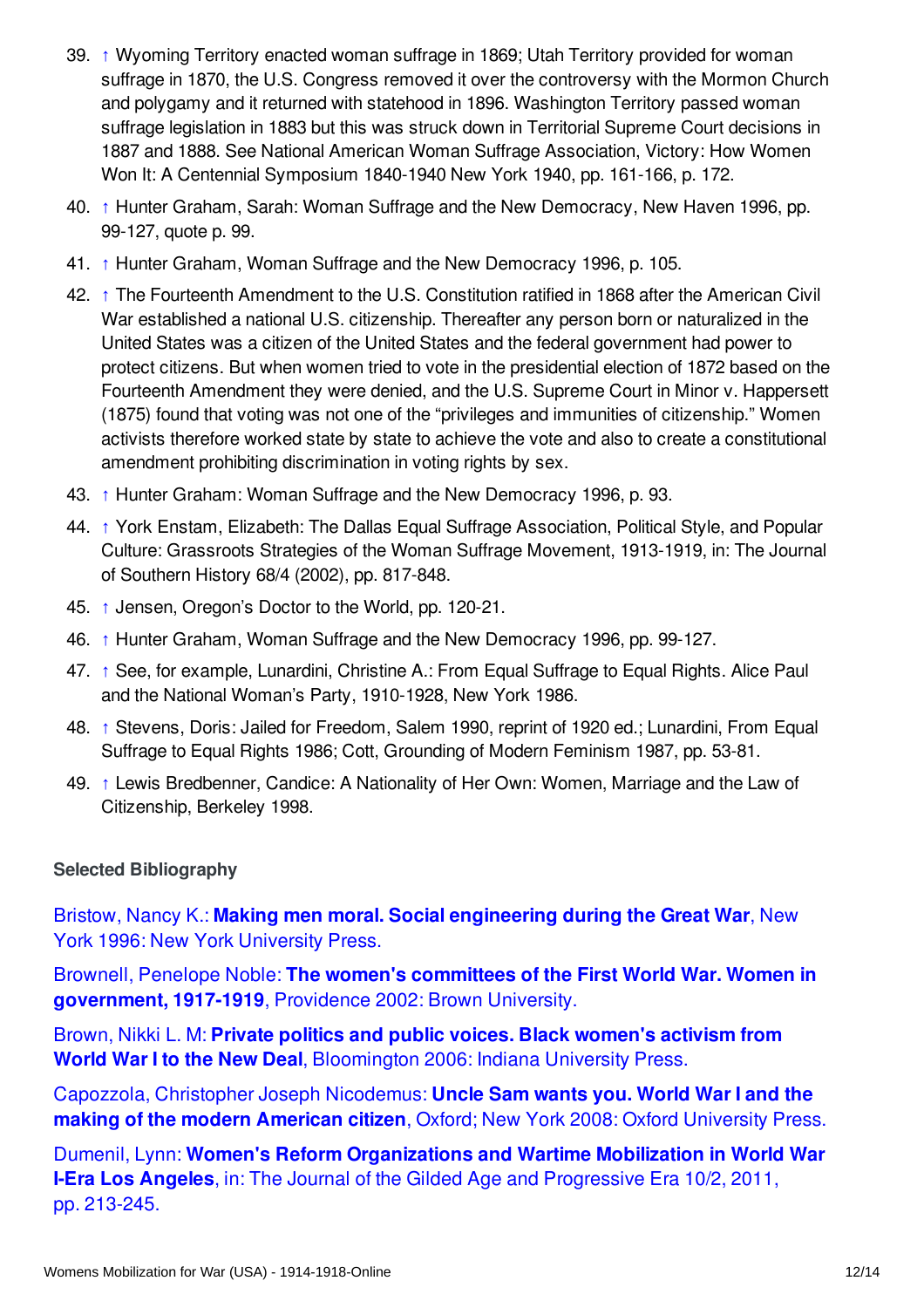- <span id="page-11-1"></span>39. [↑](#page-7-5) Wyoming Territory enacted woman suffrage in 1869; Utah Territory provided for woman suffrage in 1870, the U.S. Congress removed it over the controversy with the Mormon Church and polygamy and it returned with statehood in 1896. Washington Territory passed woman suffrage legislation in 1883 but this was struck down in Territorial Supreme Court decisions in 1887 and 1888. See National American Woman Suffrage Association, Victory: How Women Won It: A Centennial Symposium 1840-1940 New York 1940, pp. 161-166, p. 172.
- <span id="page-11-2"></span>40. [↑](#page-7-6) Hunter Graham, Sarah: Woman Suffrage and the New Democracy, New Haven 1996, pp. 99-127, quote p. 99.
- <span id="page-11-3"></span>41. [↑](#page-7-7) Hunter Graham, Woman Suffrage and the New Democracy 1996, p. 105.
- <span id="page-11-4"></span>42. [↑](#page-7-8) The Fourteenth Amendment to the U.S. Constitution ratified in 1868 after the American Civil War established a national U.S. citizenship. Thereafter any person born or naturalized in the United States was a citizen of the United States and the federal government had power to protect citizens. But when women tried to vote in the presidential election of 1872 based on the Fourteenth Amendment they were denied, and the U.S. Supreme Court in Minor v. Happersett (1875) found that voting was not one of the "privileges and immunities of citizenship." Women activists therefore worked state by state to achieve the vote and also to create a constitutional amendment prohibiting discrimination in voting rights by sex.
- <span id="page-11-5"></span>43. [↑](#page-8-1) Hunter Graham: Woman Suffrage and the New Democracy 1996, p. 93.
- <span id="page-11-6"></span>44. [↑](#page-8-2) York Enstam, Elizabeth: The Dallas Equal Suffrage Association, Political Style, and Popular Culture: Grassroots Strategies of the Woman Suffrage Movement, 1913-1919, in: The Journal of Southern History 68/4 (2002), pp. 817-848.
- <span id="page-11-7"></span>45. [↑](#page-8-3) Jensen, Oregon's Doctor to the World, pp. 120-21.
- <span id="page-11-8"></span>46. [↑](#page-8-4) Hunter Graham, Woman Suffrage and the New Democracy 1996, pp. 99-127.
- <span id="page-11-9"></span>47. [↑](#page-8-5) See, for example, Lunardini, Christine A.: From Equal Suffrage to Equal Rights. Alice Paul and the National Woman's Party, 1910-1928, New York 1986.
- <span id="page-11-10"></span>48. [↑](#page-8-6) Stevens, Doris: Jailed for Freedom, Salem 1990, reprint of 1920 ed.; Lunardini, From Equal Suffrage to Equal Rights 1986; Cott, Grounding of Modern Feminism 1987, pp. 53-81.
- <span id="page-11-11"></span>49. [↑](#page-8-7) Lewis Bredbenner, Candice: A Nationality of Her Own: Women, Marriage and the Law of Citizenship, Berkeley 1998.

#### <span id="page-11-0"></span>**Selected Bibliography**

Bristow, Nancy K.: **Making men moral. Social [engineering](https://encyclopedia.1914-1918-online.net/bibliography/2988WQMK) during the Great War**, New York 1996: New York University Press.

Brownell, Penelope Noble: **The women's committees of the First World War. Women in [government,](https://encyclopedia.1914-1918-online.net/bibliography/TPCZVHWH) 1917-1919**, Providence 2002: Brown University.

Brown, Nikki L. M: **Private politics and public voices. Black women's activism from World War I to the New Deal**, [Bloomington](https://encyclopedia.1914-1918-online.net/bibliography/4TQ3D93H) 2006: Indiana University Press.

Capozzola, Christopher Joseph [Nicodemus:](https://encyclopedia.1914-1918-online.net/bibliography/9H5S4AAW) **Uncle Sam wants you. World War I and the making of the modern American citizen**, Oxford; New York 2008: Oxford University Press.

Dumenil, Lynn: **Women's Reform [Organizations](https://encyclopedia.1914-1918-online.net/bibliography/ZWI59G7J) and Wartime Mobilization in World War I-Era Los Angeles**, in: The Journal of the Gilded Age and Progressive Era 10/2, 2011, pp. 213-245.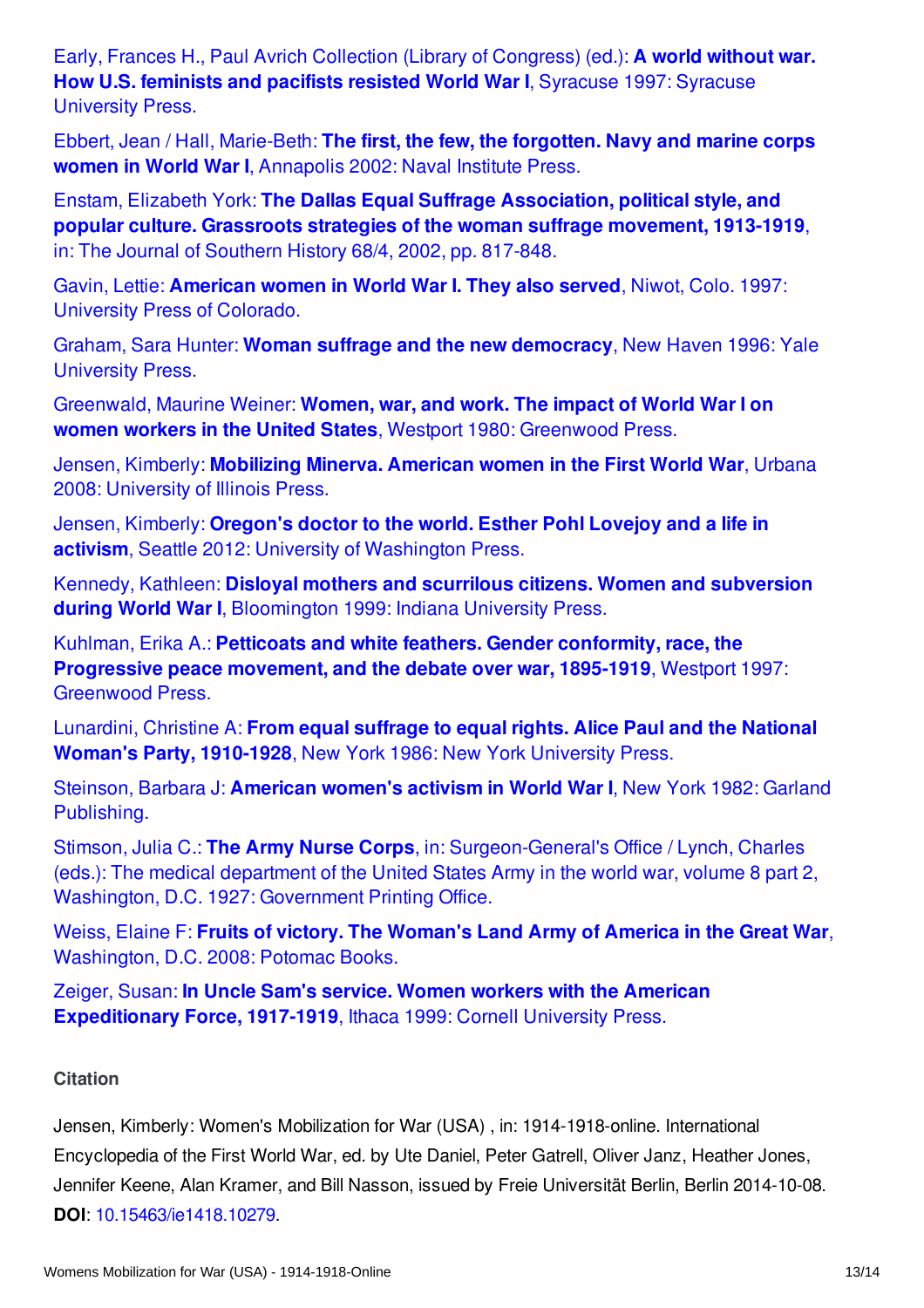Early, Frances H., Paul Avrich Collection (Library of [Congress\)](https://encyclopedia.1914-1918-online.net/bibliography/G7E4NBN2) (ed.): **A world without war. How U.S. feminists and pacifists resisted World War I**, Syracuse 1997: Syracuse University Press.

Ebbert, Jean / Hall, [Marie-Beth:](https://encyclopedia.1914-1918-online.net/bibliography/U22TFC7I) **The first, the few, the forgotten. Navy and marine corps women in World War I**, Annapolis 2002: Naval Institute Press.

Enstam, Elizabeth York: **The Dallas Equal Suffrage [Association,](https://encyclopedia.1914-1918-online.net/bibliography/89RNKIW8) political style, and popular culture. Grassroots strategies of the woman suffrage movement, 1913-1919**, in: The Journal of Southern History 68/4, 2002, pp. 817-848.

Gavin, Lettie: **[American](https://encyclopedia.1914-1918-online.net/bibliography/XD9ZA3SJ) women in World War I. They also served**, Niwot, Colo. 1997: University Press of Colorado.

Graham, Sara Hunter: **Woman suffrage and the new [democracy](https://encyclopedia.1914-1918-online.net/bibliography/F5WBNIC7)**, New Haven 1996: Yale University Press.

Greenwald, Maurine Weiner: **Women, war, and work. The impact of World War I on women workers in the United States**, Westport 1980: [Greenwood](https://encyclopedia.1914-1918-online.net/bibliography/ZB6UA3TW) Press.

Jensen, Kimberly: **[Mobilizing](https://encyclopedia.1914-1918-online.net/bibliography/7953CH6X) Minerva. American women in the First World War**, Urbana 2008: University of Illinois Press.

Jensen, Kimberly: **Oregon's doctor to the world. Esther Pohl Lovejoy and a life in activism**, Seattle 2012: University of [Washington](https://encyclopedia.1914-1918-online.net/bibliography/8KH4IGBU) Press.

Kennedy, Kathleen: **Disloyal mothers and scurrilous citizens. Women and subversion during World War I**, [Bloomington](https://encyclopedia.1914-1918-online.net/bibliography/4M5ZCWQC) 1999: Indiana University Press.

Kuhlman, Erika A.: **Petticoats and white feathers. Gender conformity, race, the [Progressive](https://encyclopedia.1914-1918-online.net/bibliography/ER777IG8) peace movement, and the debate over war, 1895-1919**, Westport 1997: Greenwood Press.

Lunardini, Christine A: **From equal suffrage to equal rights. Alice Paul and the National Woman's Party, [1910-1928](https://encyclopedia.1914-1918-online.net/bibliography/MVI9MUAP)**, New York 1986: New York University Press.

Steinson, Barbara J: **American women's activism in World War I**, New York 1982: Garland [Publishing.](https://encyclopedia.1914-1918-online.net/bibliography/997JHXDI)

Stimson, Julia C.: **The Army Nurse Corps**, in: [Surgeon-General's](https://encyclopedia.1914-1918-online.net/bibliography/VSPUS79G) Office / Lynch, Charles (eds.): The medical department of the United States Army in the world war, volume 8 part 2, Washington, D.C. 1927: Government Printing Office.

Weiss, Elaine F: **Fruits of victory. The Woman's Land Army of America in the Great War**, [Washington,](https://encyclopedia.1914-1918-online.net/bibliography/6NEPZJRZ) D.C. 2008: Potomac Books.

Zeiger, Susan: **In Uncle Sam's service. Women workers with the American [Expeditionary](https://encyclopedia.1914-1918-online.net/bibliography/IS8P7N8Q) Force, 1917-1919**, Ithaca 1999: Cornell University Press.

#### <span id="page-12-0"></span>**Citation**

Jensen, Kimberly: Women's Mobilization for War (USA) , in: 1914-1918-online. International Encyclopedia of the First World War, ed. by Ute Daniel, Peter Gatrell, Oliver Janz, Heather Jones, Jennifer Keene, Alan Kramer, and Bill Nasson, issued by Freie Universität Berlin, Berlin 2014-10-08. **DOI**: [10.15463/ie1418.10279](http://dx.doi.org/10.15463/ie1418.10279).